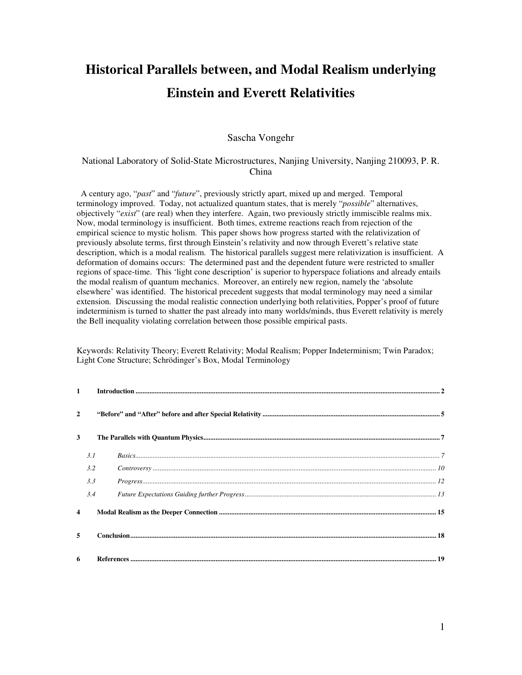# **Historical Parallels between, and Modal Realism underlying Einstein and Everett Relativities**

### Sascha Vongehr

# National Laboratory of Solid-State Microstructures, Nanjing University, Nanjing 210093, P. R. China

 A century ago, "*past*" and "*future*", previously strictly apart, mixed up and merged. Temporal terminology improved. Today, not actualized quantum states, that is merely "*possible*" alternatives, objectively "*exist*" (are real) when they interfere. Again, two previously strictly immiscible realms mix. Now, modal terminology is insufficient. Both times, extreme reactions reach from rejection of the empirical science to mystic holism. This paper shows how progress started with the relativization of previously absolute terms, first through Einstein's relativity and now through Everett's relative state description, which is a modal realism. The historical parallels suggest mere relativization is insufficient. A deformation of domains occurs: The determined past and the dependent future were restricted to smaller regions of space-time. This 'light cone description' is superior to hyperspace foliations and already entails the modal realism of quantum mechanics. Moreover, an entirely new region, namely the 'absolute elsewhere' was identified. The historical precedent suggests that modal terminology may need a similar extension. Discussing the modal realistic connection underlying both relativities, Popper's proof of future indeterminism is turned to shatter the past already into many worlds/minds, thus Everett relativity is merely the Bell inequality violating correlation between those possible empirical pasts.

Keywords: Relativity Theory; Everett Relativity; Modal Realism; Popper Indeterminism; Twin Paradox; Light Cone Structure; Schrödinger's Box, Modal Terminology

| $1 \quad$               |     |  |  |
|-------------------------|-----|--|--|
| $\overline{2}$          |     |  |  |
| 3                       |     |  |  |
|                         | 3.1 |  |  |
|                         | 3.2 |  |  |
|                         | 3.3 |  |  |
|                         | 3.4 |  |  |
| $\overline{\mathbf{4}}$ |     |  |  |
| 5                       |     |  |  |
| 6                       |     |  |  |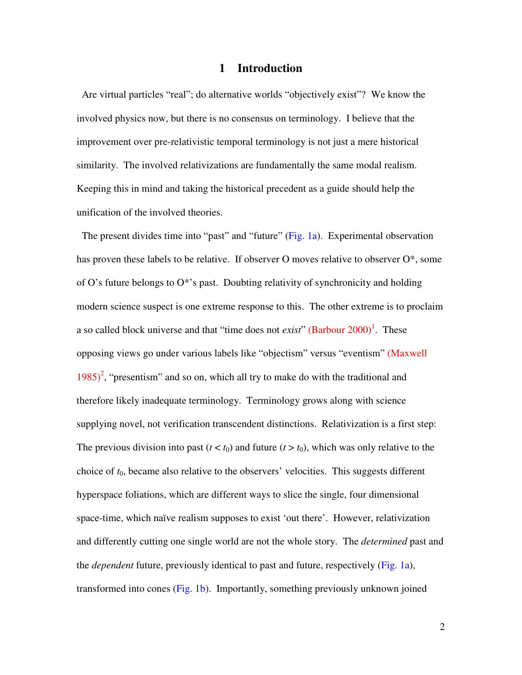#### **1 Introduction**

 Are virtual particles "real"; do alternative worlds "objectively exist"? We know the involved physics now, but there is no consensus on terminology. I believe that the improvement over pre-relativistic temporal terminology is not just a mere historical similarity. The involved relativizations are fundamentally the same modal realism. Keeping this in mind and taking the historical precedent as a guide should help the unification of the involved theories.

The present divides time into "past" and "future" (Fig. 1a). Experimental observation has proven these labels to be relative. If observer O moves relative to observer O\*, some of O's future belongs to O\*'s past. Doubting relativity of synchronicity and holding modern science suspect is one extreme response to this. The other extreme is to proclaim a so called block universe and that "time does not *exist*" (Barbour 2000)<sup>1</sup>. These opposing views go under various labels like "objectism" versus "eventism" (Maxwell  $1985$ <sup>2</sup>, "presentism" and so on, which all try to make do with the traditional and therefore likely inadequate terminology. Terminology grows along with science supplying novel, not verification transcendent distinctions. Relativization is a first step: The previous division into past  $(t < t_0)$  and future  $(t > t_0)$ , which was only relative to the choice of *t*0, became also relative to the observers' velocities. This suggests different hyperspace foliations, which are different ways to slice the single, four dimensional space-time, which naïve realism supposes to exist 'out there'. However, relativization and differently cutting one single world are not the whole story. The *determined* past and the *dependent* future, previously identical to past and future, respectively (Fig. 1a), transformed into cones (Fig. 1b). Importantly, something previously unknown joined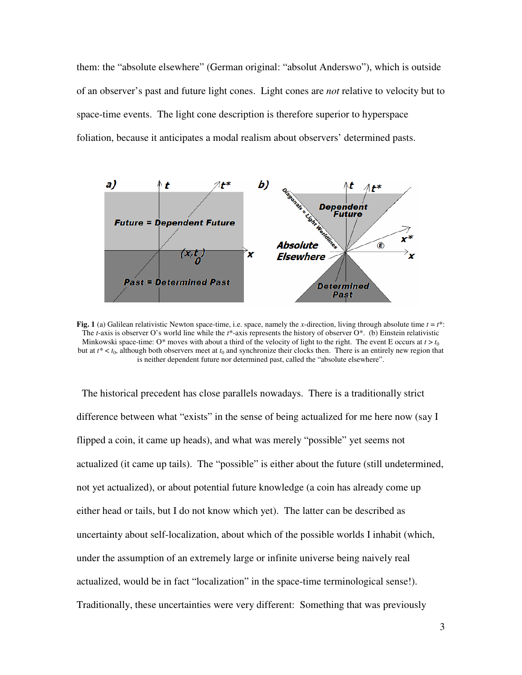them: the "absolute elsewhere" (German original: "absolut Anderswo"), which is outside of an observer's past and future light cones. Light cones are *not* relative to velocity but to space-time events. The light cone description is therefore superior to hyperspace foliation, because it anticipates a modal realism about observers' determined pasts.



**Fig. 1** (a) Galilean relativistic Newton space-time, i.e. space, namely the *x*-direction, living through absolute time  $t = t^*$ : The *t*-axis is observer O's world line while the *t*\*-axis represents the history of observer O\*. (b) Einstein relativistic Minkowski space-time: O\* moves with about a third of the velocity of light to the right. The event E occurs at  $t > t_0$ but at  $t^* < t_0$ , although both observers meet at  $t_0$  and synchronize their clocks then. There is an entirely new region that is neither dependent future nor determined past, called the "absolute elsewhere".

 The historical precedent has close parallels nowadays. There is a traditionally strict difference between what "exists" in the sense of being actualized for me here now (say I flipped a coin, it came up heads), and what was merely "possible" yet seems not actualized (it came up tails). The "possible" is either about the future (still undetermined, not yet actualized), or about potential future knowledge (a coin has already come up either head or tails, but I do not know which yet). The latter can be described as uncertainty about self-localization, about which of the possible worlds I inhabit (which, under the assumption of an extremely large or infinite universe being naively real actualized, would be in fact "localization" in the space-time terminological sense!). Traditionally, these uncertainties were very different: Something that was previously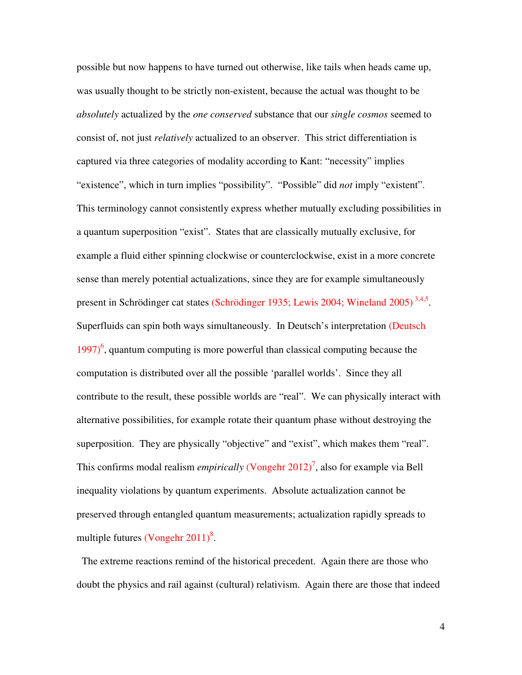possible but now happens to have turned out otherwise, like tails when heads came up, was usually thought to be strictly non-existent, because the actual was thought to be *absolutely* actualized by the *one conserved* substance that our *single cosmos* seemed to consist of, not just *relatively* actualized to an observer. This strict differentiation is captured via three categories of modality according to Kant: "necessity" implies "existence", which in turn implies "possibility". "Possible" did *not* imply "existent". This terminology cannot consistently express whether mutually excluding possibilities in a quantum superposition "exist". States that are classically mutually exclusive, for example a fluid either spinning clockwise or counterclockwise, exist in a more concrete sense than merely potential actualizations, since they are for example simultaneously present in Schrödinger cat states (Schrödinger 1935; Lewis 2004; Wineland 2005)<sup>3,4,5</sup>. Superfluids can spin both ways simultaneously. In Deutsch's interpretation (Deutsch  $1997)$ <sup>6</sup>, quantum computing is more powerful than classical computing because the computation is distributed over all the possible 'parallel worlds'. Since they all contribute to the result, these possible worlds are "real". We can physically interact with alternative possibilities, for example rotate their quantum phase without destroying the superposition. They are physically "objective" and "exist", which makes them "real". This confirms modal realism *empirically* (Vongehr  $2012$ )<sup>7</sup>, also for example via Bell inequality violations by quantum experiments. Absolute actualization cannot be preserved through entangled quantum measurements; actualization rapidly spreads to multiple futures (Vongehr  $2011$ )<sup>8</sup>.

 The extreme reactions remind of the historical precedent. Again there are those who doubt the physics and rail against (cultural) relativism. Again there are those that indeed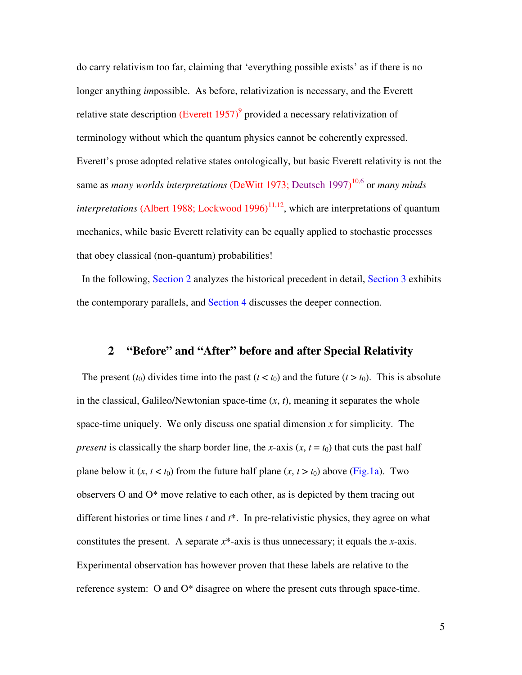do carry relativism too far, claiming that 'everything possible exists' as if there is no longer anything *im*possible. As before, relativization is necessary, and the Everett relative state description (Everett  $1957$ )<sup>9</sup> provided a necessary relativization of terminology without which the quantum physics cannot be coherently expressed. Everett's prose adopted relative states ontologically, but basic Everett relativity is not the same as *many worlds interpretations* (DeWitt 1973; Deutsch 1997)<sup>10,6</sup> or *many minds interpretations* (Albert 1988; Lockwood 1996)<sup>11,12</sup>, which are interpretations of quantum mechanics, while basic Everett relativity can be equally applied to stochastic processes that obey classical (non-quantum) probabilities!

 In the following, Section 2 analyzes the historical precedent in detail, Section 3 exhibits the contemporary parallels, and Section 4 discusses the deeper connection.

# **2 "Before" and "After" before and after Special Relativity**

The present  $(t_0)$  divides time into the past  $(t < t_0)$  and the future  $(t > t_0)$ . This is absolute in the classical, Galileo/Newtonian space-time  $(x, t)$ , meaning it separates the whole space-time uniquely. We only discuss one spatial dimension *x* for simplicity. The *present* is classically the sharp border line, the *x*-axis  $(x, t = t_0)$  that cuts the past half plane below it  $(x, t < t_0)$  from the future half plane  $(x, t > t_0)$  above (Fig.1a). Two observers O and  $O^*$  move relative to each other, as is depicted by them tracing out different histories or time lines *t* and *t*\*. In pre-relativistic physics, they agree on what constitutes the present. A separate *x*\*-axis is thus unnecessary; it equals the *x*-axis. Experimental observation has however proven that these labels are relative to the reference system: O and O\* disagree on where the present cuts through space-time.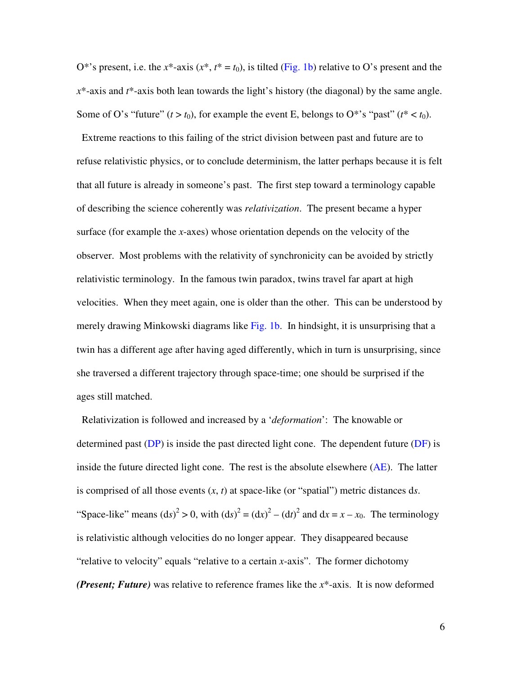O<sup>\*</sup>'s present, i.e. the  $x^*$ -axis  $(x^*, t^* = t_0)$ , is tilted (Fig. 1b) relative to O's present and the *x*\*-axis and *t*\*-axis both lean towards the light's history (the diagonal) by the same angle. Some of O's "future"  $(t > t_0)$ , for example the event E, belongs to O<sup>\*</sup>'s "past"  $(t^* < t_0)$ .

 Extreme reactions to this failing of the strict division between past and future are to refuse relativistic physics, or to conclude determinism, the latter perhaps because it is felt that all future is already in someone's past. The first step toward a terminology capable of describing the science coherently was *relativization*. The present became a hyper surface (for example the *x*-axes) whose orientation depends on the velocity of the observer. Most problems with the relativity of synchronicity can be avoided by strictly relativistic terminology. In the famous twin paradox, twins travel far apart at high velocities. When they meet again, one is older than the other. This can be understood by merely drawing Minkowski diagrams like Fig. 1b. In hindsight, it is unsurprising that a twin has a different age after having aged differently, which in turn is unsurprising, since she traversed a different trajectory through space-time; one should be surprised if the ages still matched.

 Relativization is followed and increased by a '*deformation*': The knowable or determined past  $(DP)$  is inside the past directed light cone. The dependent future  $(DF)$  is inside the future directed light cone. The rest is the absolute elsewhere  $(AE)$ . The latter is comprised of all those events (*x*, *t*) at space-like (or "spatial") metric distances d*s*. "Space-like" means  $(ds)^2 > 0$ , with  $(ds)^2 = (dx)^2 - (dt)^2$  and  $dx = x - x_0$ . The terminology is relativistic although velocities do no longer appear. They disappeared because "relative to velocity" equals "relative to a certain *x*-axis". The former dichotomy *(Present; Future)* was relative to reference frames like the *x*\*-axis. It is now deformed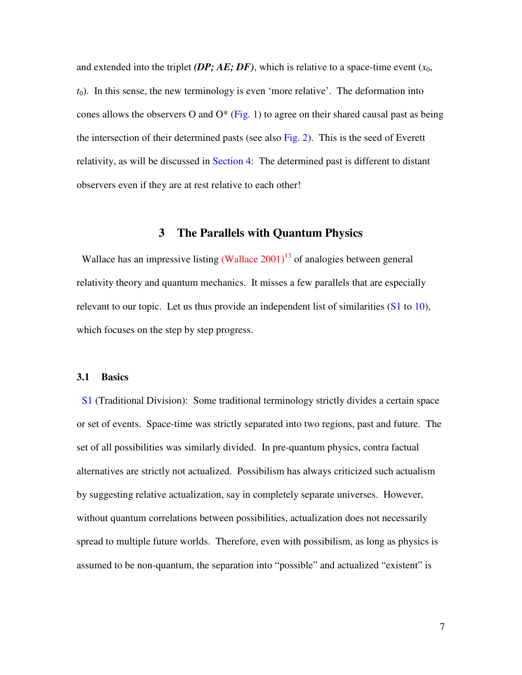and extended into the triplet *(DP; AE; DF)*, which is relative to a space-time event  $(x_0,$  $t_0$ ). In this sense, the new terminology is even 'more relative'. The deformation into cones allows the observers O and  $O^*$  (Fig. 1) to agree on their shared causal past as being the intersection of their determined pasts (see also  $Fig. 2$ ). This is the seed of Everett relativity, as will be discussed in Section 4: The determined past is different to distant observers even if they are at rest relative to each other!

# **3 The Parallels with Quantum Physics**

Wallace has an impressive listing (Wallace  $2001$ )<sup>13</sup> of analogies between general relativity theory and quantum mechanics. It misses a few parallels that are especially relevant to our topic. Let us thus provide an independent list of similarities  $(S1 \text{ to } 10)$ , which focuses on the step by step progress.

### **3.1 Basics**

 S1 (Traditional Division): Some traditional terminology strictly divides a certain space or set of events. Space-time was strictly separated into two regions, past and future. The set of all possibilities was similarly divided. In pre-quantum physics, contra factual alternatives are strictly not actualized. Possibilism has always criticized such actualism by suggesting relative actualization, say in completely separate universes. However, without quantum correlations between possibilities, actualization does not necessarily spread to multiple future worlds. Therefore, even with possibilism, as long as physics is assumed to be non-quantum, the separation into "possible" and actualized "existent" is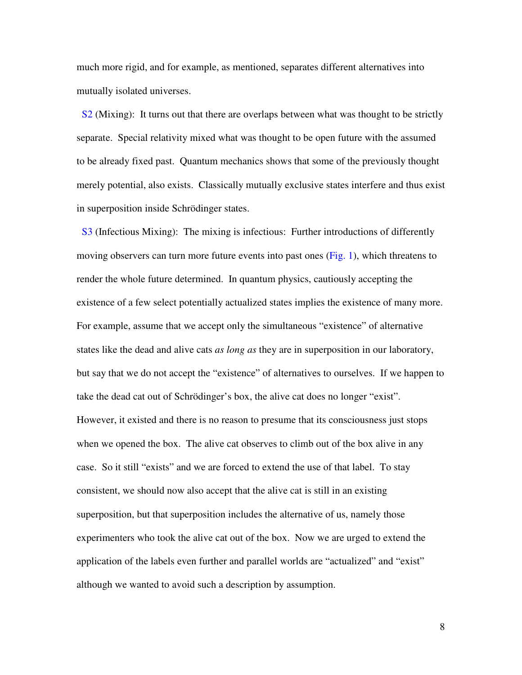much more rigid, and for example, as mentioned, separates different alternatives into mutually isolated universes.

 S2 (Mixing): It turns out that there are overlaps between what was thought to be strictly separate. Special relativity mixed what was thought to be open future with the assumed to be already fixed past. Quantum mechanics shows that some of the previously thought merely potential, also exists. Classically mutually exclusive states interfere and thus exist in superposition inside Schrödinger states.

 S3 (Infectious Mixing): The mixing is infectious: Further introductions of differently moving observers can turn more future events into past ones (Fig. 1), which threatens to render the whole future determined. In quantum physics, cautiously accepting the existence of a few select potentially actualized states implies the existence of many more. For example, assume that we accept only the simultaneous "existence" of alternative states like the dead and alive cats *as long as* they are in superposition in our laboratory, but say that we do not accept the "existence" of alternatives to ourselves. If we happen to take the dead cat out of Schrödinger's box, the alive cat does no longer "exist". However, it existed and there is no reason to presume that its consciousness just stops when we opened the box. The alive cat observes to climb out of the box alive in any case. So it still "exists" and we are forced to extend the use of that label. To stay consistent, we should now also accept that the alive cat is still in an existing superposition, but that superposition includes the alternative of us, namely those experimenters who took the alive cat out of the box. Now we are urged to extend the application of the labels even further and parallel worlds are "actualized" and "exist" although we wanted to avoid such a description by assumption.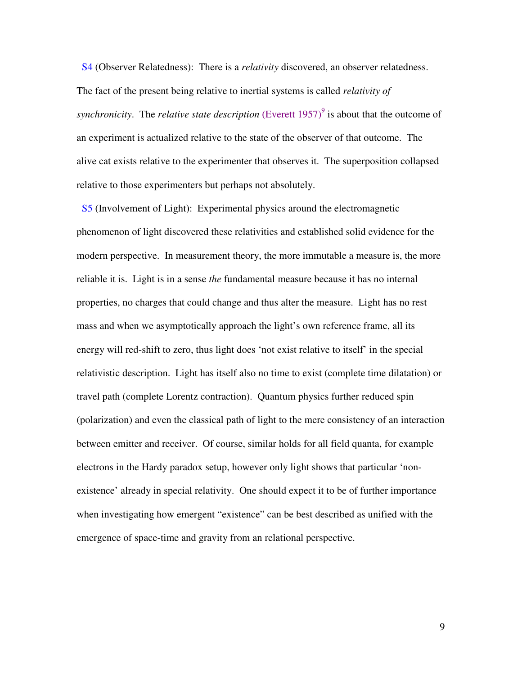S4 (Observer Relatedness): There is a *relativity* discovered, an observer relatedness. The fact of the present being relative to inertial systems is called *relativity of*  synchronicity. The *relative state description* (Everett 1957)<sup>9</sup> is about that the outcome of an experiment is actualized relative to the state of the observer of that outcome. The alive cat exists relative to the experimenter that observes it. The superposition collapsed relative to those experimenters but perhaps not absolutely.

 S5 (Involvement of Light): Experimental physics around the electromagnetic phenomenon of light discovered these relativities and established solid evidence for the modern perspective. In measurement theory, the more immutable a measure is, the more reliable it is. Light is in a sense *the* fundamental measure because it has no internal properties, no charges that could change and thus alter the measure. Light has no rest mass and when we asymptotically approach the light's own reference frame, all its energy will red-shift to zero, thus light does 'not exist relative to itself' in the special relativistic description. Light has itself also no time to exist (complete time dilatation) or travel path (complete Lorentz contraction). Quantum physics further reduced spin (polarization) and even the classical path of light to the mere consistency of an interaction between emitter and receiver. Of course, similar holds for all field quanta, for example electrons in the Hardy paradox setup, however only light shows that particular 'nonexistence' already in special relativity. One should expect it to be of further importance when investigating how emergent "existence" can be best described as unified with the emergence of space-time and gravity from an relational perspective.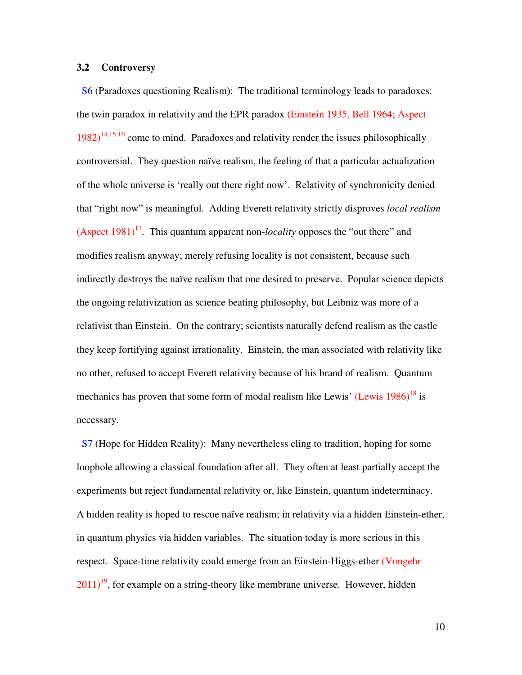# **3.2 Controversy**

 S6 (Paradoxes questioning Realism): The traditional terminology leads to paradoxes: the twin paradox in relativity and the EPR paradox (Einstein 1935, Bell 1964; Aspect  $1982$ <sup>14,15,16</sup> come to mind. Paradoxes and relativity render the issues philosophically controversial. They question naïve realism, the feeling of that a particular actualization of the whole universe is 'really out there right now'. Relativity of synchronicity denied that "right now" is meaningful. Adding Everett relativity strictly disproves *local realism* (Aspect  $1981$ )<sup>17</sup>. This quantum apparent non-*locality* opposes the "out there" and modifies realism anyway; merely refusing locality is not consistent, because such indirectly destroys the naïve realism that one desired to preserve. Popular science depicts the ongoing relativization as science beating philosophy, but Leibniz was more of a relativist than Einstein. On the contrary; scientists naturally defend realism as the castle they keep fortifying against irrationality. Einstein, the man associated with relativity like no other, refused to accept Everett relativity because of his brand of realism. Quantum mechanics has proven that some form of modal realism like Lewis' (Lewis  $1986$ )<sup>18</sup> is necessary.

 S7 (Hope for Hidden Reality): Many nevertheless cling to tradition, hoping for some loophole allowing a classical foundation after all. They often at least partially accept the experiments but reject fundamental relativity or, like Einstein, quantum indeterminacy. A hidden reality is hoped to rescue naïve realism; in relativity via a hidden Einstein-ether, in quantum physics via hidden variables. The situation today is more serious in this respect. Space-time relativity could emerge from an Einstein-Higgs-ether (Vongehr  $2011$ <sup>19</sup>, for example on a string-theory like membrane universe. However, hidden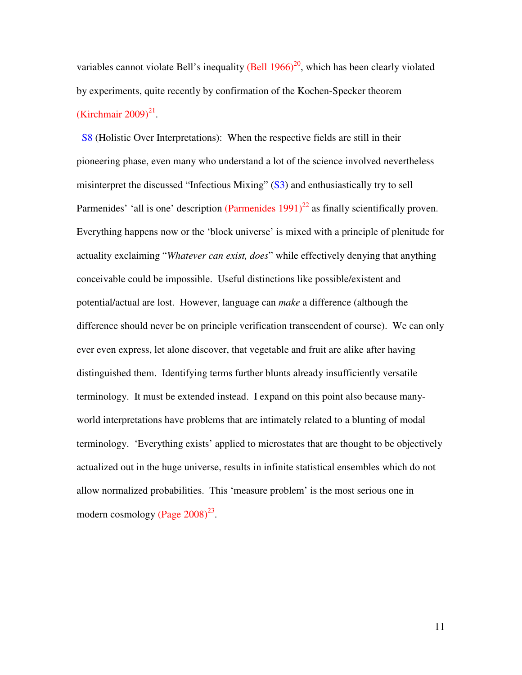variables cannot violate Bell's inequality (Bell  $1966$ )<sup>20</sup>, which has been clearly violated by experiments, quite recently by confirmation of the Kochen-Specker theorem (Kirchmair  $2009$ )<sup>21</sup>.

 S8 (Holistic Over Interpretations): When the respective fields are still in their pioneering phase, even many who understand a lot of the science involved nevertheless misinterpret the discussed "Infectious Mixing" (S3) and enthusiastically try to sell Parmenides' 'all is one' description (Parmenides  $1991$ )<sup>22</sup> as finally scientifically proven. Everything happens now or the 'block universe' is mixed with a principle of plenitude for actuality exclaiming "*Whatever can exist, does*" while effectively denying that anything conceivable could be impossible. Useful distinctions like possible/existent and potential/actual are lost. However, language can *make* a difference (although the difference should never be on principle verification transcendent of course). We can only ever even express, let alone discover, that vegetable and fruit are alike after having distinguished them. Identifying terms further blunts already insufficiently versatile terminology. It must be extended instead. I expand on this point also because manyworld interpretations have problems that are intimately related to a blunting of modal terminology. 'Everything exists' applied to microstates that are thought to be objectively actualized out in the huge universe, results in infinite statistical ensembles which do not allow normalized probabilities. This 'measure problem' is the most serious one in modern cosmology (Page  $2008)^{23}$ .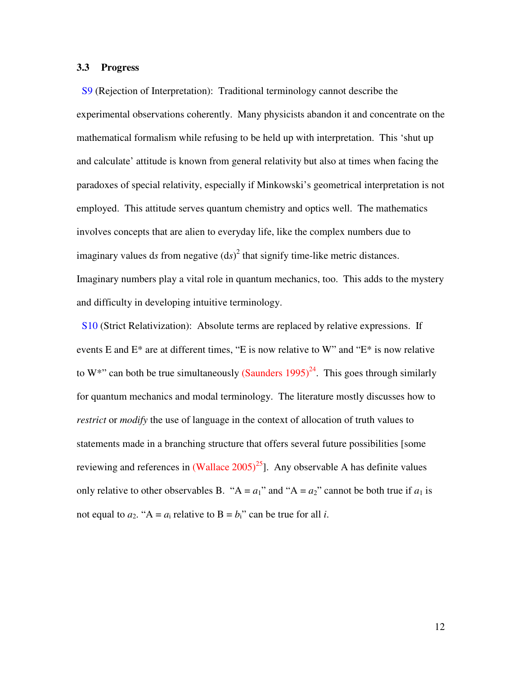### **3.3 Progress**

 S9 (Rejection of Interpretation): Traditional terminology cannot describe the experimental observations coherently. Many physicists abandon it and concentrate on the mathematical formalism while refusing to be held up with interpretation. This 'shut up and calculate' attitude is known from general relativity but also at times when facing the paradoxes of special relativity, especially if Minkowski's geometrical interpretation is not employed. This attitude serves quantum chemistry and optics well. The mathematics involves concepts that are alien to everyday life, like the complex numbers due to imaginary values d*s* from negative (d*s*) 2 that signify time-like metric distances. Imaginary numbers play a vital role in quantum mechanics, too. This adds to the mystery and difficulty in developing intuitive terminology.

 S10 (Strict Relativization): Absolute terms are replaced by relative expressions. If events E and E\* are at different times, "E is now relative to W" and "E\* is now relative to W<sup>\*\*</sup>' can both be true simultaneously (Saunders 1995)<sup>24</sup>. This goes through similarly for quantum mechanics and modal terminology. The literature mostly discusses how to *restrict* or *modify* the use of language in the context of allocation of truth values to statements made in a branching structure that offers several future possibilities [some reviewing and references in (Wallace  $2005$ )<sup>25</sup>]. Any observable A has definite values only relative to other observables B. "A =  $a_1$ " and "A =  $a_2$ " cannot be both true if  $a_1$  is not equal to  $a_2$ . "A =  $a_i$  relative to B =  $b_i$ " can be true for all *i*.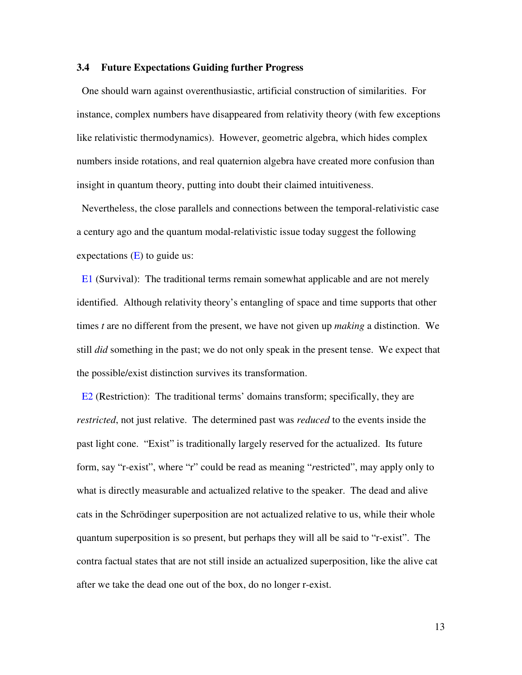#### **3.4 Future Expectations Guiding further Progress**

 One should warn against overenthusiastic, artificial construction of similarities. For instance, complex numbers have disappeared from relativity theory (with few exceptions like relativistic thermodynamics). However, geometric algebra, which hides complex numbers inside rotations, and real quaternion algebra have created more confusion than insight in quantum theory, putting into doubt their claimed intuitiveness.

 Nevertheless, the close parallels and connections between the temporal-relativistic case a century ago and the quantum modal-relativistic issue today suggest the following expectations  $(E)$  to guide us:

 E1 (Survival): The traditional terms remain somewhat applicable and are not merely identified. Although relativity theory's entangling of space and time supports that other times *t* are no different from the present, we have not given up *making* a distinction. We still *did* something in the past; we do not only speak in the present tense. We expect that the possible/exist distinction survives its transformation.

 E2 (Restriction): The traditional terms' domains transform; specifically, they are *restricted*, not just relative. The determined past was *reduced* to the events inside the past light cone. "Exist" is traditionally largely reserved for the actualized. Its future form, say "r-exist", where "r" could be read as meaning "*r*estricted", may apply only to what is directly measurable and actualized relative to the speaker. The dead and alive cats in the Schrödinger superposition are not actualized relative to us, while their whole quantum superposition is so present, but perhaps they will all be said to "r-exist". The contra factual states that are not still inside an actualized superposition, like the alive cat after we take the dead one out of the box, do no longer r-exist.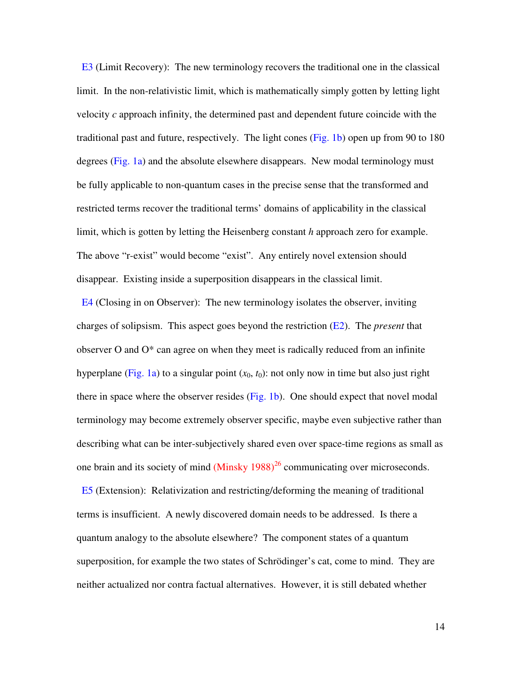E3 (Limit Recovery): The new terminology recovers the traditional one in the classical limit. In the non-relativistic limit, which is mathematically simply gotten by letting light velocity *c* approach infinity, the determined past and dependent future coincide with the traditional past and future, respectively. The light cones (Fig. 1b) open up from 90 to 180 degrees (Fig. 1a) and the absolute elsewhere disappears. New modal terminology must be fully applicable to non-quantum cases in the precise sense that the transformed and restricted terms recover the traditional terms' domains of applicability in the classical limit, which is gotten by letting the Heisenberg constant *h* approach zero for example. The above "r-exist" would become "exist". Any entirely novel extension should disappear. Existing inside a superposition disappears in the classical limit.

 E4 (Closing in on Observer): The new terminology isolates the observer, inviting charges of solipsism. This aspect goes beyond the restriction (E2). The *present* that observer O and O\* can agree on when they meet is radically reduced from an infinite hyperplane (Fig. 1a) to a singular point  $(x_0, t_0)$ : not only now in time but also just right there in space where the observer resides (Fig. 1b). One should expect that novel modal terminology may become extremely observer specific, maybe even subjective rather than describing what can be inter-subjectively shared even over space-time regions as small as one brain and its society of mind  $(Minsky 1988)^{26}$  communicating over microseconds.

 E5 (Extension): Relativization and restricting/deforming the meaning of traditional terms is insufficient. A newly discovered domain needs to be addressed. Is there a quantum analogy to the absolute elsewhere? The component states of a quantum superposition, for example the two states of Schrödinger's cat, come to mind. They are neither actualized nor contra factual alternatives. However, it is still debated whether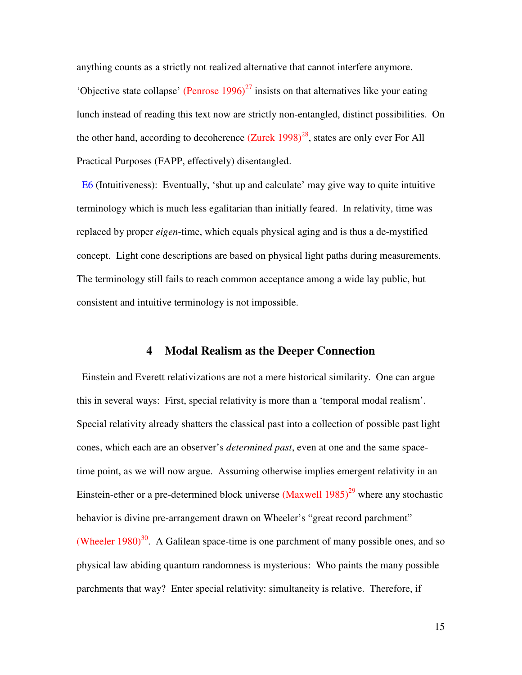anything counts as a strictly not realized alternative that cannot interfere anymore. 'Objective state collapse' (Penrose  $1996$ )<sup>27</sup> insists on that alternatives like your eating lunch instead of reading this text now are strictly non-entangled, distinct possibilities. On the other hand, according to decoherence  $(Zurek 1998)^{28}$ , states are only ever For All Practical Purposes (FAPP, effectively) disentangled.

 E6 (Intuitiveness): Eventually, 'shut up and calculate' may give way to quite intuitive terminology which is much less egalitarian than initially feared. In relativity, time was replaced by proper *eigen*-time, which equals physical aging and is thus a de-mystified concept. Light cone descriptions are based on physical light paths during measurements. The terminology still fails to reach common acceptance among a wide lay public, but consistent and intuitive terminology is not impossible.

# **4 Modal Realism as the Deeper Connection**

 Einstein and Everett relativizations are not a mere historical similarity. One can argue this in several ways: First, special relativity is more than a 'temporal modal realism'. Special relativity already shatters the classical past into a collection of possible past light cones, which each are an observer's *determined past*, even at one and the same spacetime point, as we will now argue. Assuming otherwise implies emergent relativity in an Einstein-ether or a pre-determined block universe  $(Maxwell 1985)^{29}$  where any stochastic behavior is divine pre-arrangement drawn on Wheeler's "great record parchment" (Wheeler  $1980$ <sup>30</sup>. A Galilean space-time is one parchment of many possible ones, and so physical law abiding quantum randomness is mysterious: Who paints the many possible parchments that way? Enter special relativity: simultaneity is relative. Therefore, if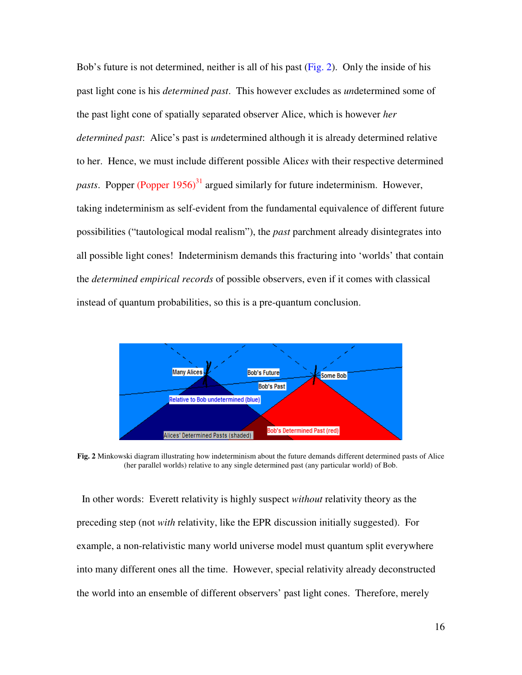Bob's future is not determined, neither is all of his past (Fig. 2). Only the inside of his past light cone is his *determined past*. This however excludes as *un*determined some of the past light cone of spatially separated observer Alice, which is however *her determined past*: Alice's past is *un*determined although it is already determined relative to her. Hence, we must include different possible Alice*s* with their respective determined *pasts.* Popper (Popper  $1956$ <sup>31</sup> argued similarly for future indeterminism. However, taking indeterminism as self-evident from the fundamental equivalence of different future possibilities ("tautological modal realism"), the *past* parchment already disintegrates into all possible light cones! Indeterminism demands this fracturing into 'worlds' that contain the *determined empirical records* of possible observers, even if it comes with classical instead of quantum probabilities, so this is a pre-quantum conclusion.



**Fig. 2** Minkowski diagram illustrating how indeterminism about the future demands different determined pasts of Alice (her parallel worlds) relative to any single determined past (any particular world) of Bob.

 In other words: Everett relativity is highly suspect *without* relativity theory as the preceding step (not *with* relativity, like the EPR discussion initially suggested). For example, a non-relativistic many world universe model must quantum split everywhere into many different ones all the time. However, special relativity already deconstructed the world into an ensemble of different observers' past light cones. Therefore, merely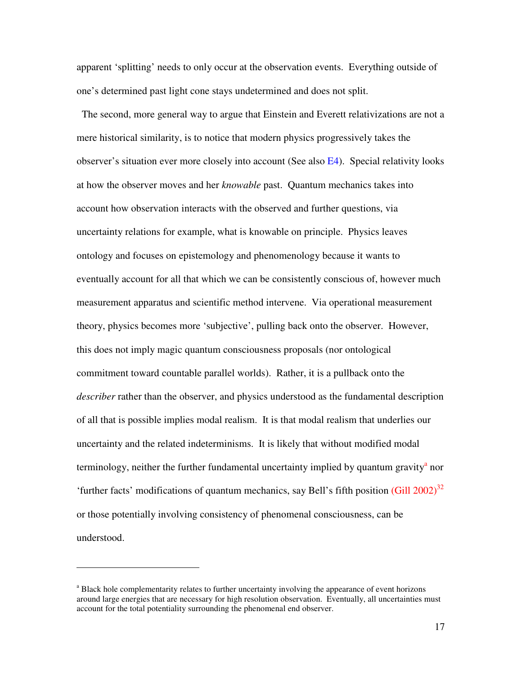apparent 'splitting' needs to only occur at the observation events. Everything outside of one's determined past light cone stays undetermined and does not split.

 The second, more general way to argue that Einstein and Everett relativizations are not a mere historical similarity, is to notice that modern physics progressively takes the observer's situation ever more closely into account (See also E4). Special relativity looks at how the observer moves and her *knowable* past. Quantum mechanics takes into account how observation interacts with the observed and further questions, via uncertainty relations for example, what is knowable on principle. Physics leaves ontology and focuses on epistemology and phenomenology because it wants to eventually account for all that which we can be consistently conscious of, however much measurement apparatus and scientific method intervene. Via operational measurement theory, physics becomes more 'subjective', pulling back onto the observer. However, this does not imply magic quantum consciousness proposals (nor ontological commitment toward countable parallel worlds). Rather, it is a pullback onto the *describer* rather than the observer, and physics understood as the fundamental description of all that is possible implies modal realism. It is that modal realism that underlies our uncertainty and the related indeterminisms. It is likely that without modified modal terminology, neither the further fundamental uncertainty implied by quantum gravity<sup>a</sup> nor 'further facts' modifications of quantum mechanics, say Bell's fifth position (Gill  $2002$ )<sup>32</sup> or those potentially involving consistency of phenomenal consciousness, can be understood.

 $\overline{a}$ 

<sup>&</sup>lt;sup>a</sup> Black hole complementarity relates to further uncertainty involving the appearance of event horizons around large energies that are necessary for high resolution observation. Eventually, all uncertainties must account for the total potentiality surrounding the phenomenal end observer.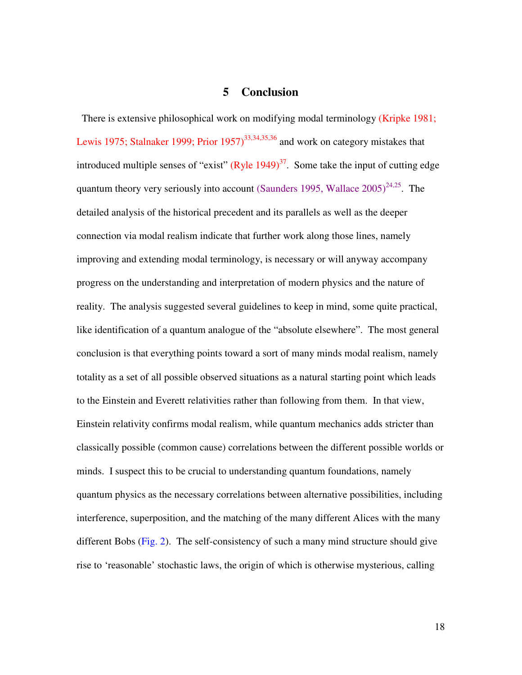# **5 Conclusion**

 There is extensive philosophical work on modifying modal terminology (Kripke 1981; Lewis 1975; Stalnaker 1999; Prior 1957)<sup>33,34,35,36</sup> and work on category mistakes that introduced multiple senses of "exist"  $(Ryle 1949)^{37}$ . Some take the input of cutting edge quantum theory very seriously into account (Saunders 1995, Wallace  $2005$ )<sup>24,25</sup>. The detailed analysis of the historical precedent and its parallels as well as the deeper connection via modal realism indicate that further work along those lines, namely improving and extending modal terminology, is necessary or will anyway accompany progress on the understanding and interpretation of modern physics and the nature of reality. The analysis suggested several guidelines to keep in mind, some quite practical, like identification of a quantum analogue of the "absolute elsewhere". The most general conclusion is that everything points toward a sort of many minds modal realism, namely totality as a set of all possible observed situations as a natural starting point which leads to the Einstein and Everett relativities rather than following from them. In that view, Einstein relativity confirms modal realism, while quantum mechanics adds stricter than classically possible (common cause) correlations between the different possible worlds or minds. I suspect this to be crucial to understanding quantum foundations, namely quantum physics as the necessary correlations between alternative possibilities, including interference, superposition, and the matching of the many different Alices with the many different Bobs (Fig. 2). The self-consistency of such a many mind structure should give rise to 'reasonable' stochastic laws, the origin of which is otherwise mysterious, calling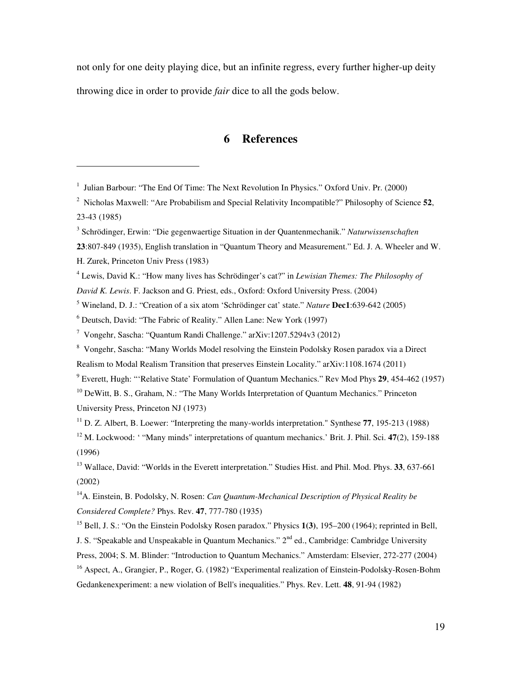not only for one deity playing dice, but an infinite regress, every further higher-up deity throwing dice in order to provide *fair* dice to all the gods below.

# **6 References**

H. Zurek, Princeton Univ Press (1983)

 $\overline{a}$ 

4 Lewis, David K.: "How many lives has Schrödinger's cat?" in *Lewisian Themes: The Philosophy of* 

- <sup>8</sup> Vongehr, Sascha: "Many Worlds Model resolving the Einstein Podolsky Rosen paradox via a Direct
- Realism to Modal Realism Transition that preserves Einstein Locality." arXiv:1108.1674 (2011)

9 Everett, Hugh: "'Relative State' Formulation of Quantum Mechanics." Rev Mod Phys **29**, 454-462 (1957)  $10$  DeWitt, B. S., Graham, N.: "The Many Worlds Interpretation of Quantum Mechanics." Princeton

University Press, Princeton NJ (1973)

<sup>11</sup> D. Z. Albert, B. Loewer: "Interpreting the many-worlds interpretation." Synthese **77**, 195-213 (1988)

<sup>13</sup> Wallace, David: "Worlds in the Everett interpretation." Studies Hist. and Phil. Mod. Phys. **33**, 637-661 (2002)

<sup>15</sup> Bell, J. S.: "On the Einstein Podolsky Rosen paradox." Physics **1(3)**, 195–200 (1964); reprinted in Bell, J. S. "Speakable and Unspeakable in Quantum Mechanics."  $2^{nd}$  ed., Cambridge: Cambridge University Press, 2004; S. M. Blinder: "Introduction to Quantum Mechanics." Amsterdam: Elsevier, 272-277 (2004) <sup>16</sup> Aspect, A., Grangier, P., Roger, G. (1982) "Experimental realization of Einstein-Podolsky-Rosen-Bohm Gedankenexperiment: a new violation of Bell's inequalities." Phys. Rev. Lett. **48**, 91-94 (1982)

<sup>&</sup>lt;sup>1</sup> Julian Barbour: "The End Of Time: The Next Revolution In Physics." Oxford Univ. Pr. (2000)

<sup>2</sup> Nicholas Maxwell: "Are Probabilism and Special Relativity Incompatible?" Philosophy of Science **52**, 23-43 (1985)

<sup>3</sup> Schrödinger, Erwin: "Die gegenwaertige Situation in der Quantenmechanik." *Naturwissenschaften*

**<sup>23</sup>**:807-849 (1935), English translation in "Quantum Theory and Measurement." Ed. J. A. Wheeler and W.

*David K. Lewis*. F. Jackson and G. Priest, eds., Oxford: Oxford University Press. (2004)

<sup>5</sup> Wineland, D. J.: "Creation of a six atom 'Schrödinger cat' state." *Nature* **Dec1**:639-642 (2005)

<sup>6</sup> Deutsch, David: "The Fabric of Reality." Allen Lane: New York (1997)

<sup>7</sup> Vongehr, Sascha: "Quantum Randi Challenge." arXiv:1207.5294v3 (2012)

<sup>12</sup> M. Lockwood: ' "Many minds" interpretations of quantum mechanics.' Brit. J. Phil. Sci. **47**(2), 159-188 (1996)

<sup>14</sup>A. Einstein, B. Podolsky, N. Rosen: *Can Quantum-Mechanical Description of Physical Reality be Considered Complete?* Phys. Rev. **47**, 777-780 (1935)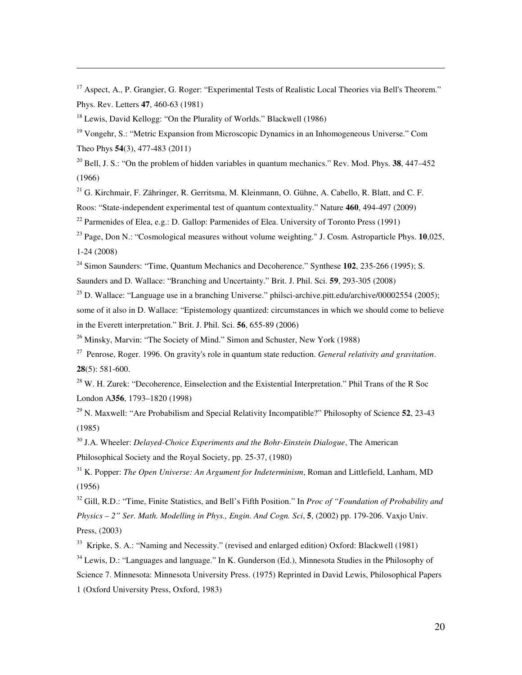<sup>17</sup> Aspect, A., P. Grangier, G. Roger: "Experimental Tests of Realistic Local Theories via Bell's Theorem." Phys. Rev. Letters **47**, 460-63 (1981)

<sup>18</sup> Lewis, David Kellogg: "On the Plurality of Worlds." Blackwell (1986)

 $\overline{a}$ 

 $19$  Vongehr, S.: "Metric Expansion from Microscopic Dynamics in an Inhomogeneous Universe." Com Theo Phys **54**(3), 477-483 (2011)

 $^{20}$  Bell, J. S.: "On the problem of hidden variables in quantum mechanics." Rev. Mod. Phys. **38**, 447–452 (1966)

 $21$  G. Kirchmair, F. Zähringer, R. Gerritsma, M. Kleinmann, O. Gühne, A. Cabello, R. Blatt, and C. F.

Roos: "State-independent experimental test of quantum contextuality." Nature **460**, 494-497 (2009)

<sup>22</sup> Parmenides of Elea, e.g.: D. Gallop: Parmenides of Elea. University of Toronto Press (1991)

<sup>23</sup> Page, Don N.: "Cosmological measures without volume weighting." J. Cosm. Astroparticle Phys. **10**,025, 1-24 (2008)

<sup>24</sup> Simon Saunders: "Time, Quantum Mechanics and Decoherence." Synthese 102, 235-266 (1995); S. Saunders and D. Wallace: "Branching and Uncertainty." Brit. J. Phil. Sci. **59**, 293-305 (2008)

<sup>25</sup> D. Wallace: "Language use in a branching Universe." philsci-archive.pitt.edu/archive/00002554 (2005); some of it also in D. Wallace: "Epistemology quantized: circumstances in which we should come to believe in the Everett interpretation." Brit. J. Phil. Sci. **56**, 655-89 (2006)

 $^{26}$  Minsky, Marvin: "The Society of Mind." Simon and Schuster, New York (1988)

<sup>27</sup> Penrose, Roger. 1996. On gravity's role in quantum state reduction. *General relativity and gravitation*. **28**(5): 581-600.

 $28$  W. H. Zurek: "Decoherence, Einselection and the Existential Interpretation." Phil Trans of the R Soc London A**356**, 1793–1820 (1998)

<sup>29</sup> N. Maxwell: "Are Probabilism and Special Relativity Incompatible?" Philosophy of Science **52**, 23-43 (1985)

<sup>30</sup> J.A. Wheeler: *Delayed-Choice Experiments and the Bohr-Einstein Dialogue*, The American Philosophical Society and the Royal Society, pp. 25-37, (1980)

<sup>31</sup> K. Popper: *The Open Universe: An Argument for Indeterminism*, Roman and Littlefield, Lanham, MD (1956)

<sup>32</sup> Gill, R.D.: "Time, Finite Statistics, and Bell's Fifth Position." In *Proc of "Foundation of Probability and Physics – 2" Ser. Math. Modelling in Phys., Engin. And Cogn. Sci*, **5**, (2002) pp. 179-206. Vaxjo Univ. Press, (2003)

<sup>33</sup> Kripke, S. A.: "Naming and Necessity." (revised and enlarged edition) Oxford: Blackwell (1981)

<sup>34</sup> Lewis, D.: "Languages and language." In K. Gunderson (Ed.), Minnesota Studies in the Philosophy of Science 7. Minnesota: Minnesota University Press. (1975) Reprinted in David Lewis, Philosophical Papers 1 (Oxford University Press, Oxford, 1983)